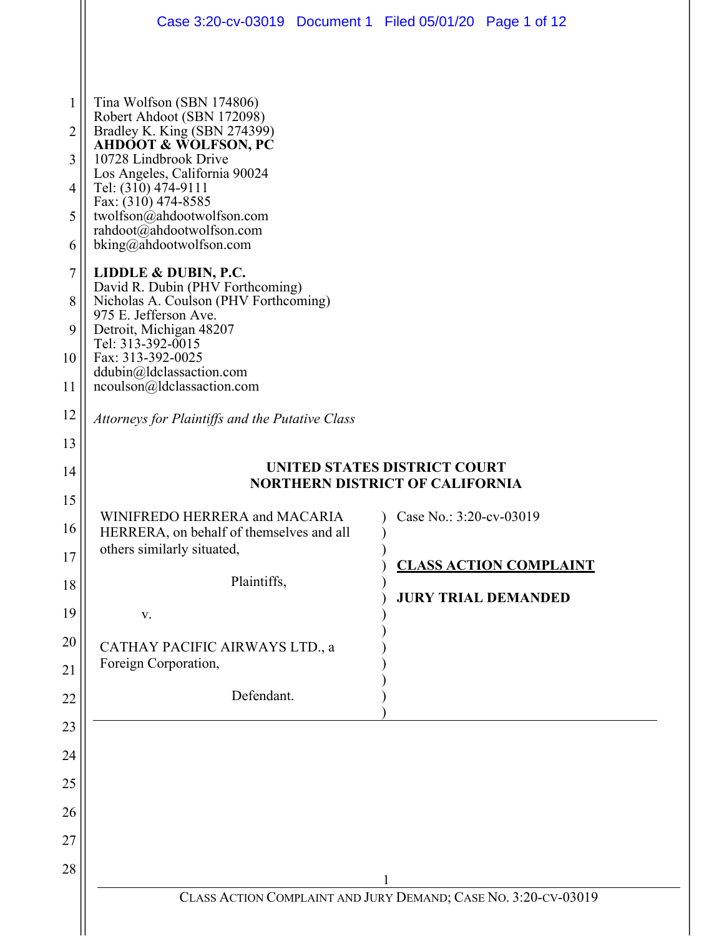| Case 3:20-cv-03019 Document 1 Filed 05/01/20 Page 1 of 12                                                                                                                                                                                                                                                                |                                                                        |
|--------------------------------------------------------------------------------------------------------------------------------------------------------------------------------------------------------------------------------------------------------------------------------------------------------------------------|------------------------------------------------------------------------|
| Tina Wolfson (SBN 174806)<br>Robert Ahdoot (SBN 172098)<br>Bradley K. King (SBN 274399)<br><b>AHDOOT &amp; WOLFSON, PC</b><br>10728 Lindbrook Drive<br>Los Angeles, California 90024<br>Tel: (310) 474-9111<br>Fax: (310) 474-8585<br>twolfson@ahdootwolfson.com<br>rahdoot@ahdootwolfson.com<br>bking@ahdootwolfson.com |                                                                        |
| LIDDLE & DUBIN, P.C.<br>David R. Dubin (PHV Forthcoming)<br>Nicholas A. Coulson (PHV Forthcoming)<br>975 E. Jefferson Ave.<br>Detroit, Michigan 48207<br>Tel: 313-392-0015<br>Fax: 313-392-0025<br>ddubin@ldclassaction.com<br>ncoulson@ldclassaction.com                                                                |                                                                        |
| Attorneys for Plaintiffs and the Putative Class                                                                                                                                                                                                                                                                          |                                                                        |
|                                                                                                                                                                                                                                                                                                                          |                                                                        |
|                                                                                                                                                                                                                                                                                                                          | UNITED STATES DISTRICT COURT<br><b>NORTHERN DISTRICT OF CALIFORNIA</b> |
|                                                                                                                                                                                                                                                                                                                          |                                                                        |
| WINIFREDO HERRERA and MACARIA<br>HERRERA, on behalf of themselves and all                                                                                                                                                                                                                                                | Case No.: $3:20$ -cv-03019<br>$\lambda$                                |
| others similarly situated,                                                                                                                                                                                                                                                                                               | <b>CLASS ACTION COMPLAINT</b>                                          |
| Plaintiffs,                                                                                                                                                                                                                                                                                                              |                                                                        |
| V.                                                                                                                                                                                                                                                                                                                       | <b>JURY TRIAL DEMANDED</b>                                             |
| CATHAY PACIFIC AIRWAYS LTD., a                                                                                                                                                                                                                                                                                           |                                                                        |
| Foreign Corporation,                                                                                                                                                                                                                                                                                                     |                                                                        |
| Defendant.                                                                                                                                                                                                                                                                                                               |                                                                        |
|                                                                                                                                                                                                                                                                                                                          |                                                                        |
|                                                                                                                                                                                                                                                                                                                          |                                                                        |
|                                                                                                                                                                                                                                                                                                                          |                                                                        |
|                                                                                                                                                                                                                                                                                                                          |                                                                        |
|                                                                                                                                                                                                                                                                                                                          |                                                                        |
|                                                                                                                                                                                                                                                                                                                          |                                                                        |
|                                                                                                                                                                                                                                                                                                                          |                                                                        |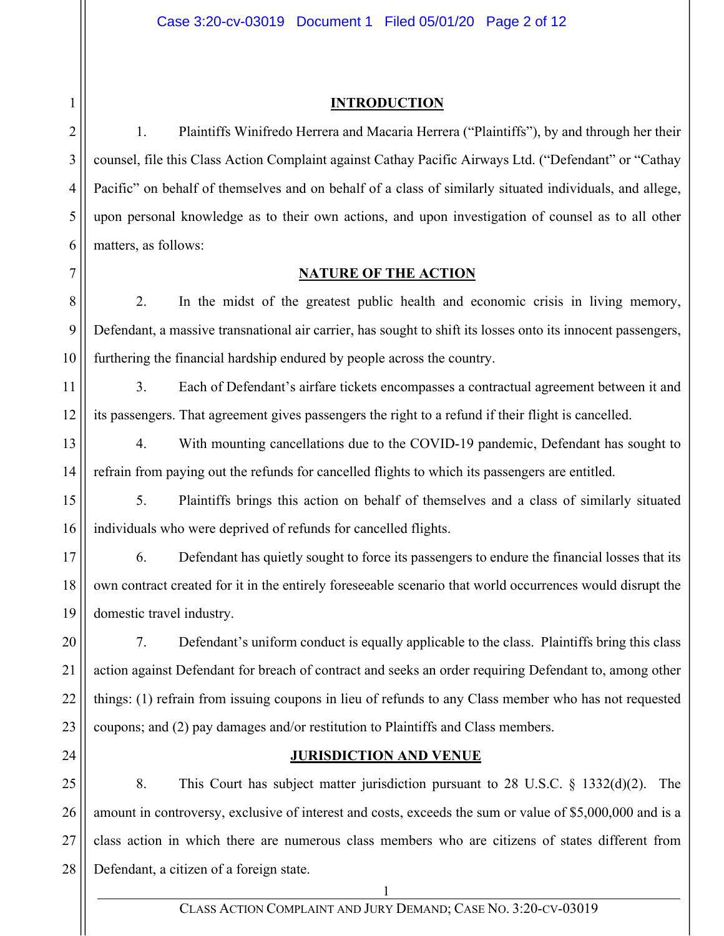## Case 3:20-cv-03019 Document 1 Filed 05/01/20 Page 2 of 12

## **INTRODUCTION**

1. Plaintiffs Winifredo Herrera and Macaria Herrera ("Plaintiffs"), by and through her their counsel, file this Class Action Complaint against Cathay Pacific Airways Ltd. ("Defendant" or "Cathay Pacific" on behalf of themselves and on behalf of a class of similarly situated individuals, and allege, upon personal knowledge as to their own actions, and upon investigation of counsel as to all other matters, as follows:

# **NATURE OF THE ACTION**

8 9 2. In the midst of the greatest public health and economic crisis in living memory, Defendant, a massive transnational air carrier, has sought to shift its losses onto its innocent passengers, furthering the financial hardship endured by people across the country.

11 12 3. Each of Defendant's airfare tickets encompasses a contractual agreement between it and its passengers. That agreement gives passengers the right to a refund if their flight is cancelled.

13 14 4. With mounting cancellations due to the COVID-19 pandemic, Defendant has sought to refrain from paying out the refunds for cancelled flights to which its passengers are entitled.

15 16 5. Plaintiffs brings this action on behalf of themselves and a class of similarly situated individuals who were deprived of refunds for cancelled flights.

17 18 19 6. Defendant has quietly sought to force its passengers to endure the financial losses that its own contract created for it in the entirely foreseeable scenario that world occurrences would disrupt the domestic travel industry.

20 21 22 23 7. Defendant's uniform conduct is equally applicable to the class. Plaintiffs bring this class action against Defendant for breach of contract and seeks an order requiring Defendant to, among other things: (1) refrain from issuing coupons in lieu of refunds to any Class member who has not requested coupons; and (2) pay damages and/or restitution to Plaintiffs and Class members.

24

# **JURISDICTION AND VENUE**

25 26 27 28 8. This Court has subject matter jurisdiction pursuant to 28 U.S.C. § 1332(d)(2). The amount in controversy, exclusive of interest and costs, exceeds the sum or value of \$5,000,000 and is a class action in which there are numerous class members who are citizens of states different from Defendant, a citizen of a foreign state.

1

2

3

4

5

6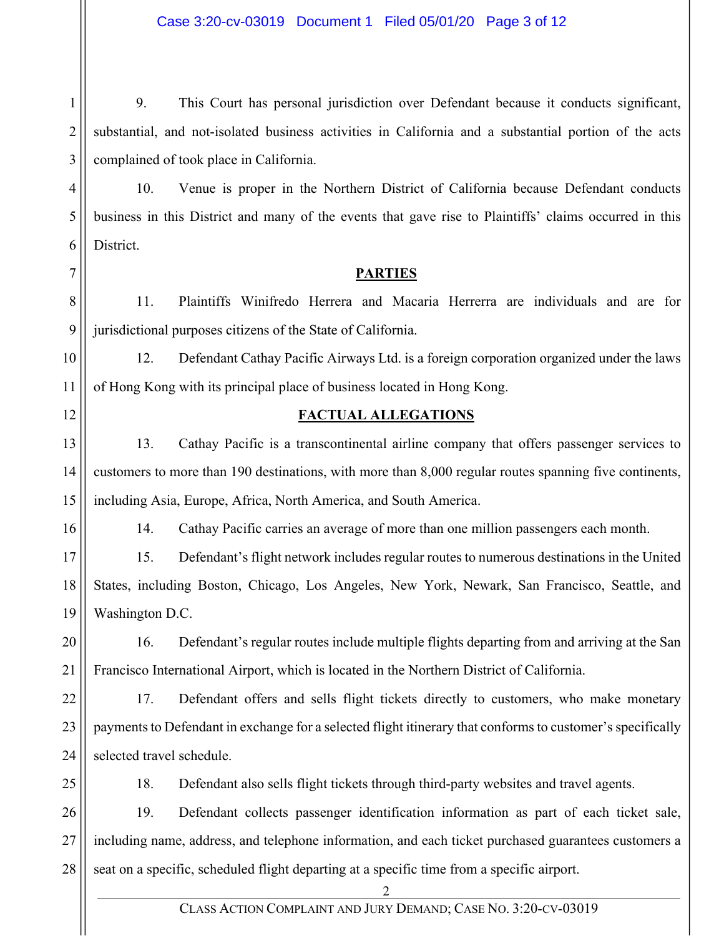1 2 3 4 5 6 7 8 9 10 11 12 13 14 15 16 17 18 19 20 21 22 23 24 25 26 27 28 2 CLASS ACTION COMPLAINT AND JURY DEMAND; CASE NO. 3:20-CV-03019 9. This Court has personal jurisdiction over Defendant because it conducts significant, substantial, and not-isolated business activities in California and a substantial portion of the acts complained of took place in California. 10. Venue is proper in the Northern District of California because Defendant conducts business in this District and many of the events that gave rise to Plaintiffs' claims occurred in this District. **PARTIES**  11. Plaintiffs Winifredo Herrera and Macaria Herrerra are individuals and are for jurisdictional purposes citizens of the State of California. 12. Defendant Cathay Pacific Airways Ltd. is a foreign corporation organized under the laws of Hong Kong with its principal place of business located in Hong Kong. **FACTUAL ALLEGATIONS**  13. Cathay Pacific is a transcontinental airline company that offers passenger services to customers to more than 190 destinations, with more than 8,000 regular routes spanning five continents, including Asia, Europe, Africa, North America, and South America. 14. Cathay Pacific carries an average of more than one million passengers each month. 15. Defendant's flight network includes regular routes to numerous destinations in the United States, including Boston, Chicago, Los Angeles, New York, Newark, San Francisco, Seattle, and Washington D.C. 16. Defendant's regular routes include multiple flights departing from and arriving at the San Francisco International Airport, which is located in the Northern District of California. 17. Defendant offers and sells flight tickets directly to customers, who make monetary payments to Defendant in exchange for a selected flight itinerary that conforms to customer's specifically selected travel schedule. 18. Defendant also sells flight tickets through third-party websites and travel agents. 19. Defendant collects passenger identification information as part of each ticket sale, including name, address, and telephone information, and each ticket purchased guarantees customers a seat on a specific, scheduled flight departing at a specific time from a specific airport.

# Case 3:20-cv-03019 Document 1 Filed 05/01/20 Page 3 of 12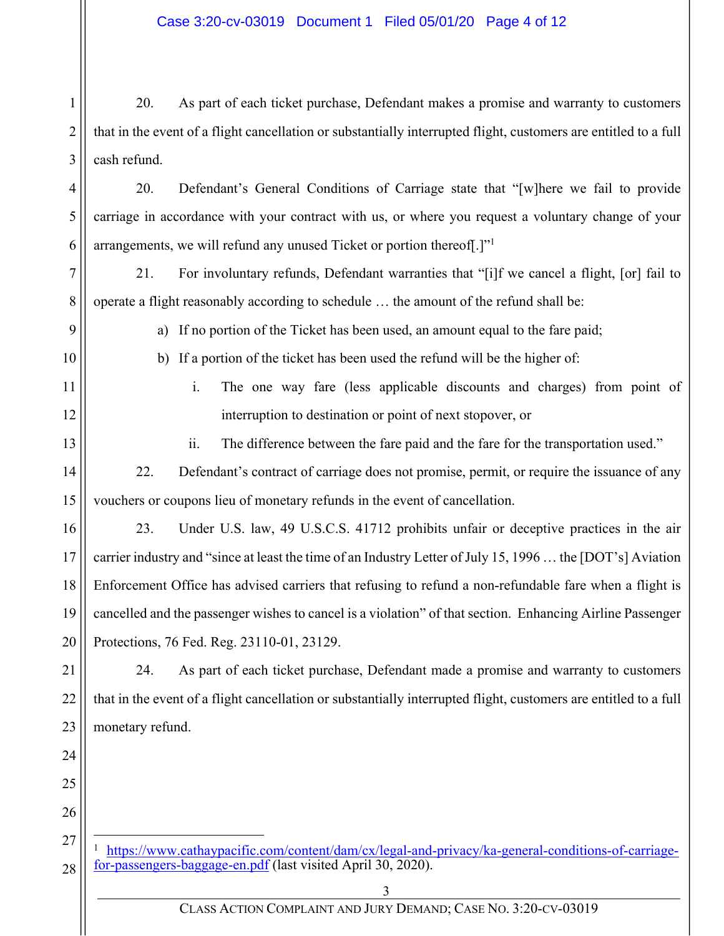1 2 3 20. As part of each ticket purchase, Defendant makes a promise and warranty to customers that in the event of a flight cancellation or substantially interrupted flight, customers are entitled to a full cash refund.

4 5 6 20. Defendant's General Conditions of Carriage state that "[w]here we fail to provide carriage in accordance with your contract with us, or where you request a voluntary change of your arrangements, we will refund any unused Ticket or portion thereof. ["1"]

7 8 21. For involuntary refunds, Defendant warranties that "[i]f we cancel a flight, [or] fail to operate a flight reasonably according to schedule … the amount of the refund shall be:

9

a) If no portion of the Ticket has been used, an amount equal to the fare paid;

b) If a portion of the ticket has been used the refund will be the higher of:

11

12

13

10

i. The one way fare (less applicable discounts and charges) from point of interruption to destination or point of next stopover, or

ii. The difference between the fare paid and the fare for the transportation used."

14 15 22. Defendant's contract of carriage does not promise, permit, or require the issuance of any vouchers or coupons lieu of monetary refunds in the event of cancellation.

16 17 18 19 20 23. Under U.S. law, 49 U.S.C.S. 41712 prohibits unfair or deceptive practices in the air carrier industry and "since at least the time of an Industry Letter of July 15, 1996 … the [DOT's] Aviation Enforcement Office has advised carriers that refusing to refund a non-refundable fare when a flight is cancelled and the passenger wishes to cancel is a violation" of that section. Enhancing Airline Passenger Protections, 76 Fed. Reg. 23110-01, 23129.

21 22 23 24. As part of each ticket purchase, Defendant made a promise and warranty to customers that in the event of a flight cancellation or substantially interrupted flight, customers are entitled to a full monetary refund.

- 24 25
- 26 27

28

https://www.cathaypacific.com/content/dam/cx/legal-and-privacy/ka-general-conditions-of-carriagefor-passengers-baggage-en.pdf (last visited April 30, 2020).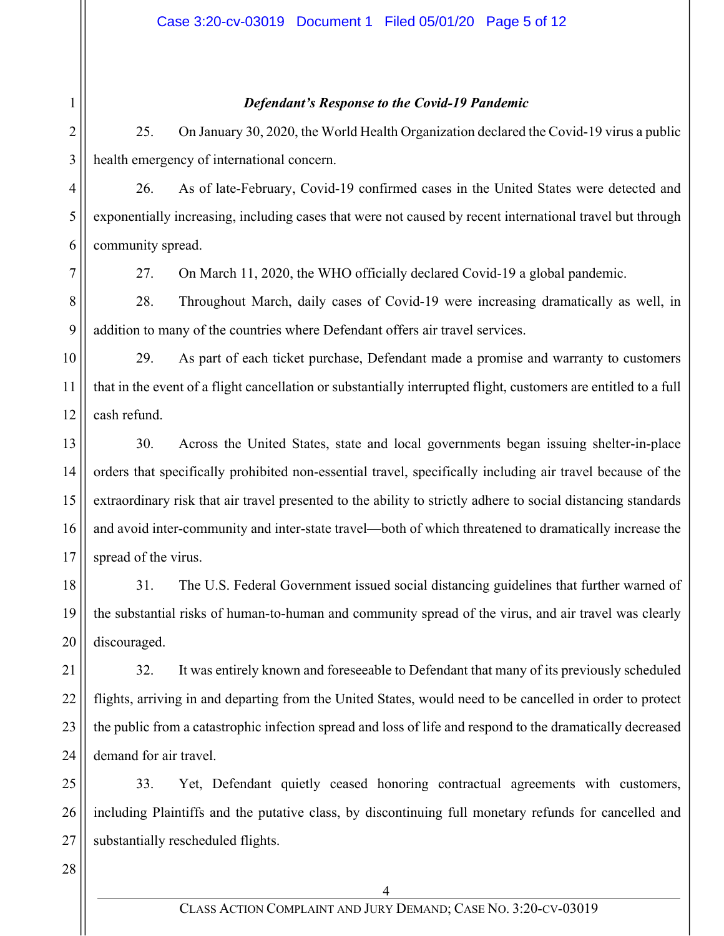# *Defendant's Response to the Covid-19 Pandemic*

25. On January 30, 2020, the World Health Organization declared the Covid-19 virus a public health emergency of international concern.

26. As of late-February, Covid-19 confirmed cases in the United States were detected and exponentially increasing, including cases that were not caused by recent international travel but through community spread.

1

2

3

4

5

6

7

27. On March 11, 2020, the WHO officially declared Covid-19 a global pandemic.

8 9 28. Throughout March, daily cases of Covid-19 were increasing dramatically as well, in addition to many of the countries where Defendant offers air travel services.

10 11 12 29. As part of each ticket purchase, Defendant made a promise and warranty to customers that in the event of a flight cancellation or substantially interrupted flight, customers are entitled to a full cash refund.

13 14 15 16 17 30. Across the United States, state and local governments began issuing shelter-in-place orders that specifically prohibited non-essential travel, specifically including air travel because of the extraordinary risk that air travel presented to the ability to strictly adhere to social distancing standards and avoid inter-community and inter-state travel—both of which threatened to dramatically increase the spread of the virus.

18 19 20 31. The U.S. Federal Government issued social distancing guidelines that further warned of the substantial risks of human-to-human and community spread of the virus, and air travel was clearly discouraged.

21 22 23 24 32. It was entirely known and foreseeable to Defendant that many of its previously scheduled flights, arriving in and departing from the United States, would need to be cancelled in order to protect the public from a catastrophic infection spread and loss of life and respond to the dramatically decreased demand for air travel.

25 26 27 33. Yet, Defendant quietly ceased honoring contractual agreements with customers, including Plaintiffs and the putative class, by discontinuing full monetary refunds for cancelled and substantially rescheduled flights.

28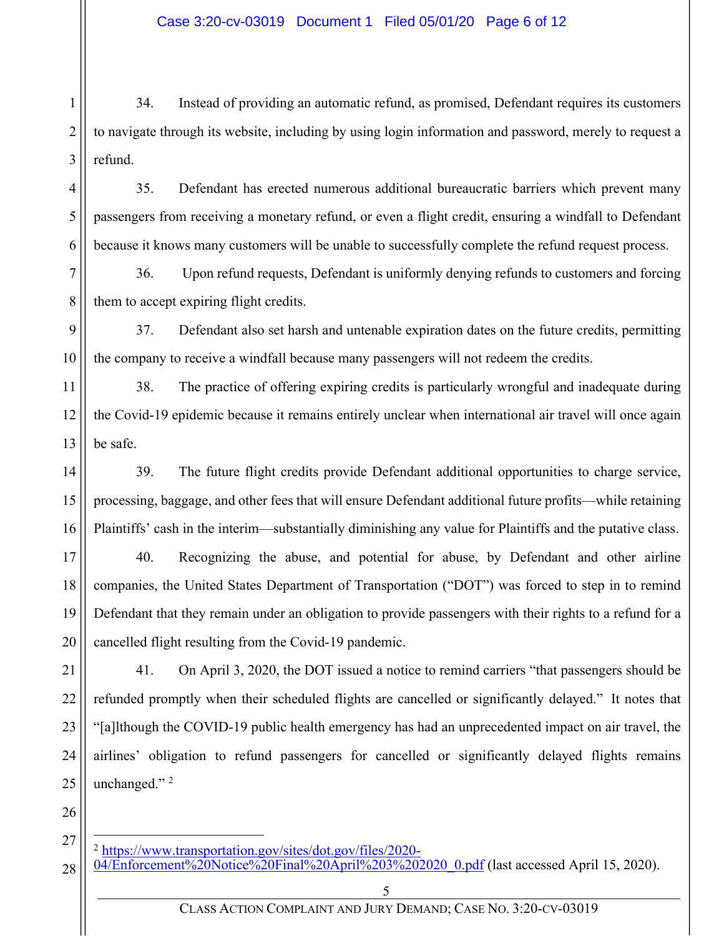1 2 3 34. Instead of providing an automatic refund, as promised, Defendant requires its customers to navigate through its website, including by using login information and password, merely to request a refund.

4 5 6 35. Defendant has erected numerous additional bureaucratic barriers which prevent many passengers from receiving a monetary refund, or even a flight credit, ensuring a windfall to Defendant because it knows many customers will be unable to successfully complete the refund request process.

7 8 36. Upon refund requests, Defendant is uniformly denying refunds to customers and forcing them to accept expiring flight credits.

9 10 37. Defendant also set harsh and untenable expiration dates on the future credits, permitting the company to receive a windfall because many passengers will not redeem the credits.

11 12 13 38. The practice of offering expiring credits is particularly wrongful and inadequate during the Covid-19 epidemic because it remains entirely unclear when international air travel will once again be safe.

14 15 16 39. The future flight credits provide Defendant additional opportunities to charge service, processing, baggage, and other fees that will ensure Defendant additional future profits—while retaining Plaintiffs' cash in the interim—substantially diminishing any value for Plaintiffs and the putative class.

17 18 19 20 40. Recognizing the abuse, and potential for abuse, by Defendant and other airline companies, the United States Department of Transportation ("DOT") was forced to step in to remind Defendant that they remain under an obligation to provide passengers with their rights to a refund for a cancelled flight resulting from the Covid-19 pandemic.

41. On April 3, 2020, the DOT issued a notice to remind carriers "that passengers should be refunded promptly when their scheduled flights are cancelled or significantly delayed." It notes that "[a]lthough the COVID-19 public health emergency has had an unprecedented impact on air travel, the airlines' obligation to refund passengers for cancelled or significantly delayed flights remains unchanged."<sup>2</sup>

26

21

22

23

24

25

27 <sup>2</sup> https://www.transportation.gov/sites/dot.gov/files/2020-

<sup>28</sup> 04/Enforcement%20Notice%20Final%20April%203%202020\_0.pdf (last accessed April 15, 2020).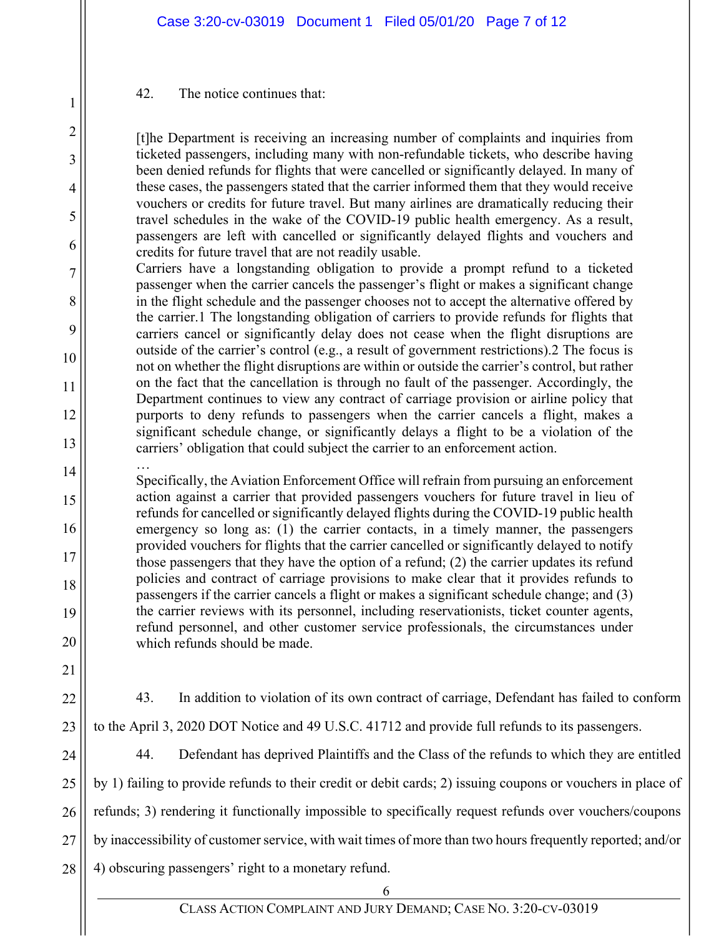# 42. The notice continues that:

[t]he Department is receiving an increasing number of complaints and inquiries from ticketed passengers, including many with non-refundable tickets, who describe having been denied refunds for flights that were cancelled or significantly delayed. In many of these cases, the passengers stated that the carrier informed them that they would receive vouchers or credits for future travel. But many airlines are dramatically reducing their travel schedules in the wake of the COVID-19 public health emergency. As a result, passengers are left with cancelled or significantly delayed flights and vouchers and credits for future travel that are not readily usable.

Carriers have a longstanding obligation to provide a prompt refund to a ticketed passenger when the carrier cancels the passenger's flight or makes a significant change in the flight schedule and the passenger chooses not to accept the alternative offered by the carrier.1 The longstanding obligation of carriers to provide refunds for flights that carriers cancel or significantly delay does not cease when the flight disruptions are outside of the carrier's control (e.g., a result of government restrictions).2 The focus is not on whether the flight disruptions are within or outside the carrier's control, but rather on the fact that the cancellation is through no fault of the passenger. Accordingly, the Department continues to view any contract of carriage provision or airline policy that purports to deny refunds to passengers when the carrier cancels a flight, makes a significant schedule change, or significantly delays a flight to be a violation of the carriers' obligation that could subject the carrier to an enforcement action.

… Specifically, the Aviation Enforcement Office will refrain from pursuing an enforcement action against a carrier that provided passengers vouchers for future travel in lieu of refunds for cancelled or significantly delayed flights during the COVID-19 public health emergency so long as: (1) the carrier contacts, in a timely manner, the passengers provided vouchers for flights that the carrier cancelled or significantly delayed to notify those passengers that they have the option of a refund; (2) the carrier updates its refund policies and contract of carriage provisions to make clear that it provides refunds to passengers if the carrier cancels a flight or makes a significant schedule change; and (3) the carrier reviews with its personnel, including reservationists, ticket counter agents, refund personnel, and other customer service professionals, the circumstances under which refunds should be made.

20 21

1

2

3

4

5

6

7

8

9

10

11

12

13

14

15

16

17

18

19

22

43. In addition to violation of its own contract of carriage, Defendant has failed to conform to the April 3, 2020 DOT Notice and 49 U.S.C. 41712 and provide full refunds to its passengers.

24

25

26

27

28

23

44. Defendant has deprived Plaintiffs and the Class of the refunds to which they are entitled by 1) failing to provide refunds to their credit or debit cards; 2) issuing coupons or vouchers in place of refunds; 3) rendering it functionally impossible to specifically request refunds over vouchers/coupons by inaccessibility of customer service, with wait times of more than two hours frequently reported; and/or 4) obscuring passengers' right to a monetary refund.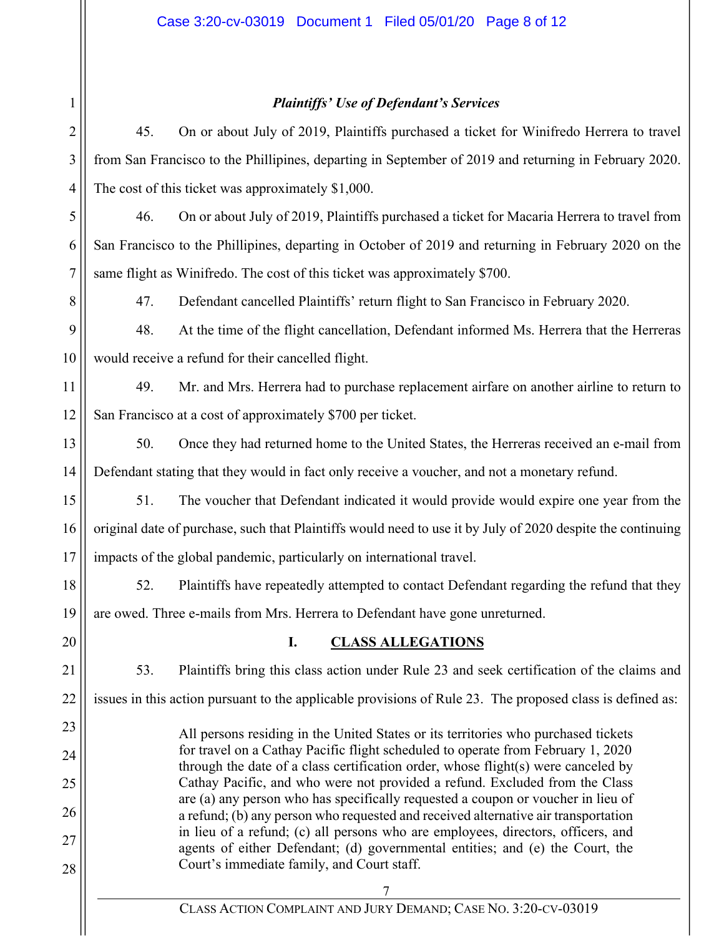# *Plaintiffs' Use of Defendant's Services*

| $2 \parallel$<br>45. | On or about July of 2019, Plaintiffs purchased a ticket for Winifredo Herrera to travel                   |
|----------------------|-----------------------------------------------------------------------------------------------------------|
|                      | $3$ from San Francisco to the Phillipines, departing in September of 2019 and returning in February 2020. |
|                      | 4 The cost of this ticket was approximately \$1,000.                                                      |

5 6 7 46. On or about July of 2019, Plaintiffs purchased a ticket for Macaria Herrera to travel from San Francisco to the Phillipines, departing in October of 2019 and returning in February 2020 on the same flight as Winifredo. The cost of this ticket was approximately \$700.

47. Defendant cancelled Plaintiffs' return flight to San Francisco in February 2020.

9 10 48. At the time of the flight cancellation, Defendant informed Ms. Herrera that the Herreras would receive a refund for their cancelled flight.

11 12 49. Mr. and Mrs. Herrera had to purchase replacement airfare on another airline to return to San Francisco at a cost of approximately \$700 per ticket.

13 14 50. Once they had returned home to the United States, the Herreras received an e-mail from Defendant stating that they would in fact only receive a voucher, and not a monetary refund.

15 16 17 51. The voucher that Defendant indicated it would provide would expire one year from the original date of purchase, such that Plaintiffs would need to use it by July of 2020 despite the continuing impacts of the global pandemic, particularly on international travel.

18 19 52. Plaintiffs have repeatedly attempted to contact Defendant regarding the refund that they are owed. Three e-mails from Mrs. Herrera to Defendant have gone unreturned.

20

21

22

23

24

25

26

27

28

1

8

# **I. CLASS ALLEGATIONS**

53. Plaintiffs bring this class action under Rule 23 and seek certification of the claims and issues in this action pursuant to the applicable provisions of Rule 23. The proposed class is defined as:

All persons residing in the United States or its territories who purchased tickets for travel on a Cathay Pacific flight scheduled to operate from February 1, 2020 through the date of a class certification order, whose flight(s) were canceled by Cathay Pacific, and who were not provided a refund. Excluded from the Class are (a) any person who has specifically requested a coupon or voucher in lieu of a refund; (b) any person who requested and received alternative air transportation in lieu of a refund; (c) all persons who are employees, directors, officers, and agents of either Defendant; (d) governmental entities; and (e) the Court, the Court's immediate family, and Court staff.

> 7 CLASS ACTION COMPLAINT AND JURY DEMAND; CASE NO. 3:20-CV-03019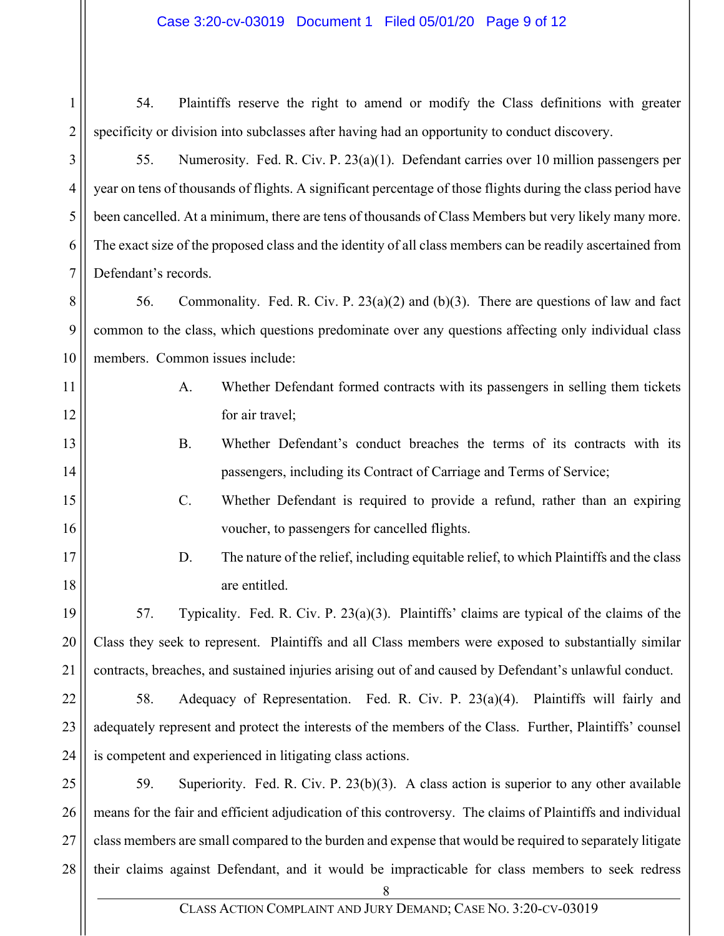54. Plaintiffs reserve the right to amend or modify the Class definitions with greater specificity or division into subclasses after having had an opportunity to conduct discovery.

55. Numerosity. Fed. R. Civ. P. 23(a)(1). Defendant carries over 10 million passengers per year on tens of thousands of flights. A significant percentage of those flights during the class period have been cancelled. At a minimum, there are tens of thousands of Class Members but very likely many more. The exact size of the proposed class and the identity of all class members can be readily ascertained from Defendant's records.

56. Commonality. Fed. R. Civ. P. 23(a)(2) and (b)(3). There are questions of law and fact common to the class, which questions predominate over any questions affecting only individual class members. Common issues include:

- A. Whether Defendant formed contracts with its passengers in selling them tickets for air travel;
- B. Whether Defendant's conduct breaches the terms of its contracts with its passengers, including its Contract of Carriage and Terms of Service;
	- C. Whether Defendant is required to provide a refund, rather than an expiring voucher, to passengers for cancelled flights.
		- D. The nature of the relief, including equitable relief, to which Plaintiffs and the class are entitled.

57. Typicality. Fed. R. Civ. P. 23(a)(3). Plaintiffs' claims are typical of the claims of the Class they seek to represent. Plaintiffs and all Class members were exposed to substantially similar contracts, breaches, and sustained injuries arising out of and caused by Defendant's unlawful conduct.

58. Adequacy of Representation. Fed. R. Civ. P. 23(a)(4). Plaintiffs will fairly and adequately represent and protect the interests of the members of the Class. Further, Plaintiffs' counsel is competent and experienced in litigating class actions.

28 59. Superiority. Fed. R. Civ. P. 23(b)(3). A class action is superior to any other available means for the fair and efficient adjudication of this controversy. The claims of Plaintiffs and individual class members are small compared to the burden and expense that would be required to separately litigate their claims against Defendant, and it would be impracticable for class members to seek redress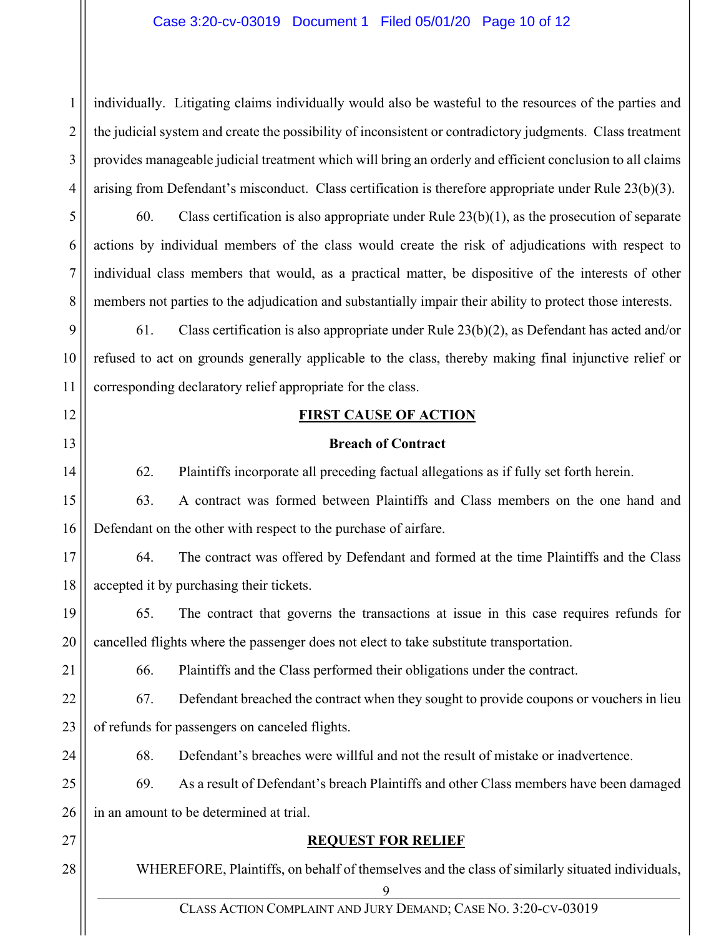# Case 3:20-cv-03019 Document 1 Filed 05/01/20 Page 10 of 12

2 3 4 individually. Litigating claims individually would also be wasteful to the resources of the parties and the judicial system and create the possibility of inconsistent or contradictory judgments. Class treatment provides manageable judicial treatment which will bring an orderly and efficient conclusion to all claims arising from Defendant's misconduct. Class certification is therefore appropriate under Rule 23(b)(3).

60. Class certification is also appropriate under Rule  $23(b)(1)$ , as the prosecution of separate actions by individual members of the class would create the risk of adjudications with respect to individual class members that would, as a practical matter, be dispositive of the interests of other members not parties to the adjudication and substantially impair their ability to protect those interests.

9 10 11 61. Class certification is also appropriate under Rule 23(b)(2), as Defendant has acted and/or refused to act on grounds generally applicable to the class, thereby making final injunctive relief or corresponding declaratory relief appropriate for the class.

12

13

14

1

5

6

7

8

# **FIRST CAUSE OF ACTION**

## **Breach of Contract**

62. Plaintiffs incorporate all preceding factual allegations as if fully set forth herein.

15 16 63. A contract was formed between Plaintiffs and Class members on the one hand and Defendant on the other with respect to the purchase of airfare.

17 18 64. The contract was offered by Defendant and formed at the time Plaintiffs and the Class accepted it by purchasing their tickets.

19 20 65. The contract that governs the transactions at issue in this case requires refunds for cancelled flights where the passenger does not elect to take substitute transportation.

21

27

28

66. Plaintiffs and the Class performed their obligations under the contract.

22 23 67. Defendant breached the contract when they sought to provide coupons or vouchers in lieu of refunds for passengers on canceled flights.

24 68. Defendant's breaches were willful and not the result of mistake or inadvertence.

25 26 69. As a result of Defendant's breach Plaintiffs and other Class members have been damaged in an amount to be determined at trial.

**REQUEST FOR RELIEF** 

WHEREFORE, Plaintiffs, on behalf of themselves and the class of similarly situated individuals,

9

CLASS ACTION COMPLAINT AND JURY DEMAND; CASE NO. 3:20-CV-03019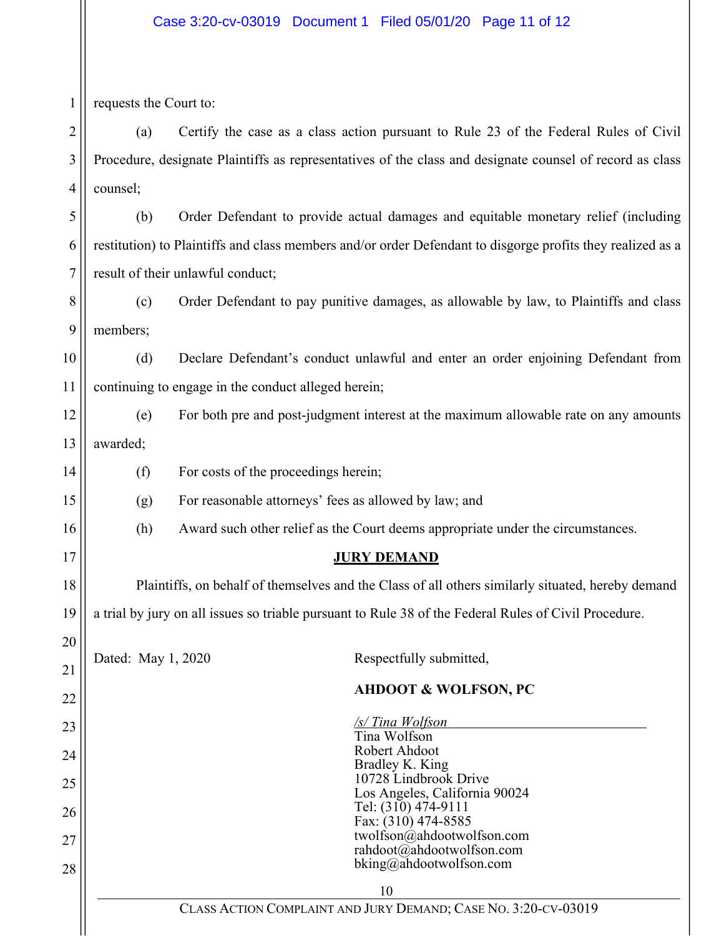# Case 3:20-cv-03019 Document 1 Filed 05/01/20 Page 11 of 12

| 1              | requests the Court to:                                                                                     |                                                                                                       |  |  |  |  |  |
|----------------|------------------------------------------------------------------------------------------------------------|-------------------------------------------------------------------------------------------------------|--|--|--|--|--|
| $\overline{c}$ | Certify the case as a class action pursuant to Rule 23 of the Federal Rules of Civil<br>(a)                |                                                                                                       |  |  |  |  |  |
| 3              | Procedure, designate Plaintiffs as representatives of the class and designate counsel of record as class   |                                                                                                       |  |  |  |  |  |
| 4              | counsel;                                                                                                   |                                                                                                       |  |  |  |  |  |
| 5              | (b)                                                                                                        | Order Defendant to provide actual damages and equitable monetary relief (including                    |  |  |  |  |  |
| 6              | restitution) to Plaintiffs and class members and/or order Defendant to disgorge profits they realized as a |                                                                                                       |  |  |  |  |  |
| 7              | result of their unlawful conduct;                                                                          |                                                                                                       |  |  |  |  |  |
| 8              | (c)                                                                                                        | Order Defendant to pay punitive damages, as allowable by law, to Plaintiffs and class                 |  |  |  |  |  |
| 9              | members;                                                                                                   |                                                                                                       |  |  |  |  |  |
| 10             | (d)<br>Declare Defendant's conduct unlawful and enter an order enjoining Defendant from                    |                                                                                                       |  |  |  |  |  |
| 11             | continuing to engage in the conduct alleged herein;                                                        |                                                                                                       |  |  |  |  |  |
| 12             | (e)<br>For both pre and post-judgment interest at the maximum allowable rate on any amounts                |                                                                                                       |  |  |  |  |  |
| 13             | awarded;                                                                                                   |                                                                                                       |  |  |  |  |  |
| 14             | (f)                                                                                                        | For costs of the proceedings herein;                                                                  |  |  |  |  |  |
| 15             | (g)                                                                                                        | For reasonable attorneys' fees as allowed by law; and                                                 |  |  |  |  |  |
| 16             | (h)<br>Award such other relief as the Court deems appropriate under the circumstances.                     |                                                                                                       |  |  |  |  |  |
| 17             |                                                                                                            | <b>JURY DEMAND</b>                                                                                    |  |  |  |  |  |
| 18             |                                                                                                            | Plaintiffs, on behalf of themselves and the Class of all others similarly situated, hereby demand     |  |  |  |  |  |
| 19             |                                                                                                            | a trial by jury on all issues so triable pursuant to Rule 38 of the Federal Rules of Civil Procedure. |  |  |  |  |  |
| 20<br>21       | Dated: May 1, 2020                                                                                         | Respectfully submitted,                                                                               |  |  |  |  |  |
| 22             |                                                                                                            | <b>AHDOOT &amp; WOLFSON, PC</b>                                                                       |  |  |  |  |  |
| 23             |                                                                                                            | /s/Tina Wolfson                                                                                       |  |  |  |  |  |
| 24             |                                                                                                            | Tina Wolfson<br>Robert Ahdoot                                                                         |  |  |  |  |  |
| 25             |                                                                                                            | Bradley K. King<br>10728 Lindbrook Drive                                                              |  |  |  |  |  |
| 26             |                                                                                                            | Los Angeles, California 90024<br>Tel: (310) 474-9111                                                  |  |  |  |  |  |
| 27             |                                                                                                            | Fax: (310) 474-8585<br>twolfson@ahdootwolfson.com                                                     |  |  |  |  |  |
| 28             |                                                                                                            | rahdoot@ahdootwolfson.com<br>bking@ahdootwolfson.com                                                  |  |  |  |  |  |
|                | 10<br>CLASS ACTION COMPLAINT AND JURY DEMAND; CASE NO. 3:20-CV-03019                                       |                                                                                                       |  |  |  |  |  |
|                |                                                                                                            |                                                                                                       |  |  |  |  |  |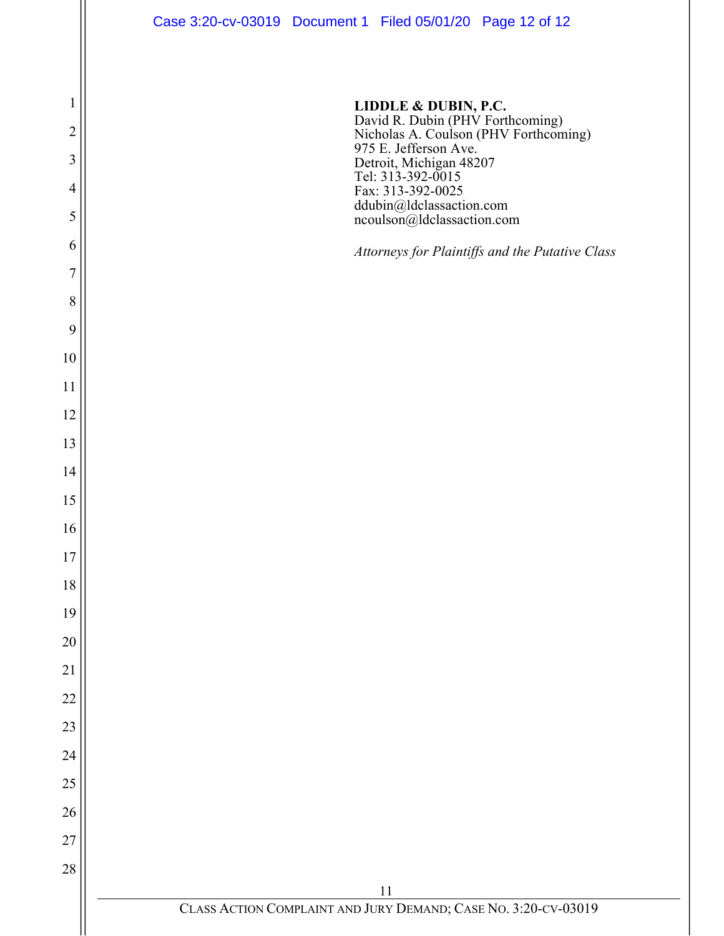

David R. Dubin (PHV Forthcoming) Nicholas A. Coulson (PHV Forthcoming) 975 E. Jefferson Ave. Detroit, Michigan 48207 Tel: 313-392-0015 Fax: 313-392-0025 ddubin@ldclassaction.com ncoulson@ldclassaction.com

*Attorneys for Plaintiffs and the Putative Class*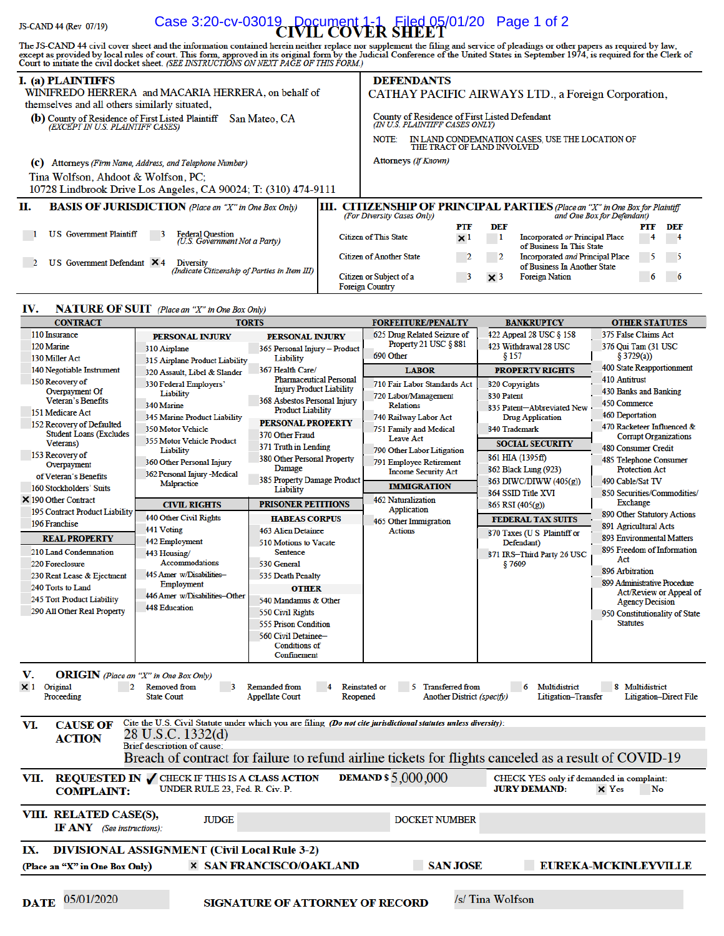#### Case 3:20-cv-03019 Document 1-1 Filed 05/01/20 Page 1 of 2 JS-CAND 44 (Rev 07/19)

The JS-CAND 44 civil cover sheet and the information contained herein neither replace nor supplement the filing and service of pleadings or other papers as required by law, except as provided by local rules of court. This

| I. (a) PLAINTIFFS                                                                                      | DEFENDANTS                                                                                                                                         |  |
|--------------------------------------------------------------------------------------------------------|----------------------------------------------------------------------------------------------------------------------------------------------------|--|
| WINIFREDO HERRERA and MACARIA HERRERA, on behalf of<br>themselves and all others similarly situated,   | CATHAY PACIFIC AIRWAYS LTD., a Foreign Corporation,                                                                                                |  |
| (b) County of Residence of First Listed Plaintiff<br>San Mateo, CA<br>(EXCEPT IN U.S. PLAINTIFF CASES) | <b>County of Residence of First Listed Defendant</b><br>(IN U.S. PLAINTIFF CASES ONLY)                                                             |  |
|                                                                                                        | IN LAND CONDEMNATION CASES, USE THE LOCATION OF<br>NOTE:<br>THE TRACT OF LAND INVOLVED                                                             |  |
| Attorneys (Firm Name, Address, and Telephone Number)<br>(c)                                            | Attorneys <i>(If Known)</i>                                                                                                                        |  |
| Tina Wolfson, Ahdoot & Wolfson, PC:<br>10728 Lindbrook Drive Los Angeles, CA 90024; T: (310) 474-9111  |                                                                                                                                                    |  |
| П.<br><b>BASIS OF JURISDICTION</b> (Place an "X" in One Box Only)                                      | <b>CITIZENSHIP OF PRINCIPAL PARTIES</b> (Place an "X" in One Box for Plaintiff<br>Ш.<br>(For Diversity Cases Only)<br>and One Box for Defendant)   |  |
|                                                                                                        | DEF<br>PTF<br>PTF<br>DEF                                                                                                                           |  |
| <b>US</b> Government Plaintiff<br>Federal Question<br>(U.S. Government Not a Party)                    | <b>Citizen of This State</b><br><b>Incorporated or Principal Place</b><br>$\times$ 1<br>$\overline{\phantom{0}}$<br>4<br>of Business In This State |  |
| U.S. Government Defendant $\mathsf{X}$ 4<br>Diversity<br>(Indicate Citizenship of Parties in Item III) | <b>Citizen of Another State</b><br>Incorporated and Principal Place<br>- 5<br>$\mathbf{2}$<br>$\sim$ 5<br>of Business In Another State             |  |
|                                                                                                        | <b>Foreign Nation</b><br>Citizen or Subject of a<br>6<br>$\times$ 3<br>- 6<br>з<br><b>Foreign Country</b>                                          |  |

#### IV. **NATURE OF SUIT** (Place an "X" in One Box Only)

| CONTRACT                                                                                                                                                                                                                                                                                                                                                                                                               |                                                                                            | IOKIS                                    | FOKFEII UKE/PENAL I Y                                                                                          | BANKKUPICY                                                                                            | OIHEK SIAIUIES                    |  |  |  |  |
|------------------------------------------------------------------------------------------------------------------------------------------------------------------------------------------------------------------------------------------------------------------------------------------------------------------------------------------------------------------------------------------------------------------------|--------------------------------------------------------------------------------------------|------------------------------------------|----------------------------------------------------------------------------------------------------------------|-------------------------------------------------------------------------------------------------------|-----------------------------------|--|--|--|--|
| 110 Insurance                                                                                                                                                                                                                                                                                                                                                                                                          | <b>PERSONAL INJURY</b>                                                                     | <b>PERSONAL INJURY</b>                   | 625 Drug Related Seizure of                                                                                    | 422 Appeal 28 USC § 158                                                                               | 375 False Claims Act              |  |  |  |  |
| 120 Marine                                                                                                                                                                                                                                                                                                                                                                                                             | 310 Airplane                                                                               | 365 Personal Injury - Product            | Property 21 USC § 881                                                                                          | 423 Withdrawal 28 USC                                                                                 | 376 Qui Tam (31 USC               |  |  |  |  |
| 130 Miller Act                                                                                                                                                                                                                                                                                                                                                                                                         | 315 Airplane Product Liability                                                             | Liability                                | 690 Other                                                                                                      | § 157                                                                                                 | § 3729(a))                        |  |  |  |  |
| 140 Negotiable Instrument                                                                                                                                                                                                                                                                                                                                                                                              | 320 Assault, Libel & Slander                                                               | 367 Health Care/                         | <b>LABOR</b>                                                                                                   | <b>PROPERTY RIGHTS</b>                                                                                | 400 State Reapportionment         |  |  |  |  |
| 150 Recovery of                                                                                                                                                                                                                                                                                                                                                                                                        | 330 Federal Employers'                                                                     | <b>Pharmaceutical Personal</b>           | 710 Fair Labor Standards Act                                                                                   | <b>820 Copyrights</b>                                                                                 | 410 Antitrust                     |  |  |  |  |
| Overpayment Of                                                                                                                                                                                                                                                                                                                                                                                                         | Liability                                                                                  | <b>Injury Product Liability</b>          | 720 Labor/Management                                                                                           | <b>830 Patent</b>                                                                                     | 430 Banks and Banking             |  |  |  |  |
| Veteran's Benefits                                                                                                                                                                                                                                                                                                                                                                                                     | 340 Marine                                                                                 | 368 Asbestos Personal Injury             | <b>Relations</b>                                                                                               | 835 Patent-Abbreviated New                                                                            | 450 Commerce                      |  |  |  |  |
| 151 Medicare Act                                                                                                                                                                                                                                                                                                                                                                                                       | 345 Marine Product Liability                                                               | <b>Product Liability</b>                 | 740 Railway Labor Act                                                                                          | <b>Drug Application</b>                                                                               | <b>460 Deportation</b>            |  |  |  |  |
| 152 Recovery of Defaulted                                                                                                                                                                                                                                                                                                                                                                                              | <b>350 Motor Vehicle</b>                                                                   | <b>PERSONAL PROPERTY</b>                 | 751 Family and Medical                                                                                         | <b>840 Trademark</b>                                                                                  | 470 Racketeer Influenced &        |  |  |  |  |
| <b>Student Loans (Excludes</b><br>Veterans)                                                                                                                                                                                                                                                                                                                                                                            | 355 Motor Vehicle Product                                                                  | 370 Other Fraud                          | Leave Act                                                                                                      | <b>SOCIAL SECURITY</b>                                                                                | <b>Corrupt Organizations</b>      |  |  |  |  |
| 153 Recovery of                                                                                                                                                                                                                                                                                                                                                                                                        | Liability                                                                                  | 371 Truth in Lending                     | 790 Other Labor Litigation                                                                                     |                                                                                                       | 480 Consumer Credit               |  |  |  |  |
| Overpayment                                                                                                                                                                                                                                                                                                                                                                                                            | 360 Other Personal Injury                                                                  | 380 Other Personal Property              | 791 Employee Retirement                                                                                        | 861 HIA (1395ff)                                                                                      | 485 Telephone Consumer            |  |  |  |  |
| of Veteran's Benefits                                                                                                                                                                                                                                                                                                                                                                                                  | 362 Personal Injury -Medical                                                               | Damage                                   | <b>Income Security Act</b>                                                                                     | 862 Black Lung (923)                                                                                  | <b>Protection Act</b>             |  |  |  |  |
| 160 Stockholders' Suits                                                                                                                                                                                                                                                                                                                                                                                                | Malpractice                                                                                | 385 Property Damage Product<br>Liability | <b>IMMIGRATION</b>                                                                                             | 863 DIWC/DIWW (405(g))                                                                                | 490 Cable/Sat TV                  |  |  |  |  |
| X 190 Other Contract                                                                                                                                                                                                                                                                                                                                                                                                   |                                                                                            |                                          | 462 Naturalization                                                                                             | <b>864 SSID Title XVI</b>                                                                             | 850 Securities/Commodities/       |  |  |  |  |
| 195 Contract Product Liability                                                                                                                                                                                                                                                                                                                                                                                         | <b>CIVIL RIGHTS</b>                                                                        | <b>PRISONER PETITIONS</b>                | <b>Application</b>                                                                                             | 865 RSI (405(g))                                                                                      | <b>Exchange</b>                   |  |  |  |  |
| 196 Franchise                                                                                                                                                                                                                                                                                                                                                                                                          | 440 Other Civil Rights                                                                     | <b>HABEAS CORPUS</b>                     | 465 Other Immigration                                                                                          | <b>FEDERAL TAX SUITS</b>                                                                              | 890 Other Statutory Actions       |  |  |  |  |
|                                                                                                                                                                                                                                                                                                                                                                                                                        | 441 Voting                                                                                 | 463 Alien Detainee                       | <b>Actions</b>                                                                                                 | 870 Taxes (U S Plaintiff or                                                                           | 891 Agricultural Acts             |  |  |  |  |
| <b>REAL PROPERTY</b>                                                                                                                                                                                                                                                                                                                                                                                                   | 442 Employment                                                                             | 510 Motions to Vacate                    |                                                                                                                | Defendant)                                                                                            | 893 Environmental Matters         |  |  |  |  |
| 210 Land Condemnation                                                                                                                                                                                                                                                                                                                                                                                                  | 443 Housing/                                                                               | <b>Sentence</b>                          |                                                                                                                | 871 IRS-Third Party 26 USC                                                                            | 895 Freedom of Information<br>Act |  |  |  |  |
| 220 Foreclosure                                                                                                                                                                                                                                                                                                                                                                                                        | <b>Accommodations</b>                                                                      | 530 General                              |                                                                                                                | §7609                                                                                                 | 896 Arbitration                   |  |  |  |  |
| 230 Rent Lease & Ejectment                                                                                                                                                                                                                                                                                                                                                                                             | 445 Amer w/Disabilities-                                                                   | 535 Death Penalty                        |                                                                                                                |                                                                                                       | 899 Administrative Procedure      |  |  |  |  |
| 240 Torts to Land                                                                                                                                                                                                                                                                                                                                                                                                      | Employment                                                                                 | <b>OTHER</b>                             |                                                                                                                |                                                                                                       | Act/Review or Appeal of           |  |  |  |  |
| 245 Tort Product Liability                                                                                                                                                                                                                                                                                                                                                                                             | 446 Amer w/Disabilities-Other                                                              | 540 Mandamus & Other                     |                                                                                                                |                                                                                                       | <b>Agency Decision</b>            |  |  |  |  |
| 290 All Other Real Property                                                                                                                                                                                                                                                                                                                                                                                            | 448 Education                                                                              | 550 Civil Rights                         |                                                                                                                |                                                                                                       | 950 Constitutionality of State    |  |  |  |  |
|                                                                                                                                                                                                                                                                                                                                                                                                                        |                                                                                            | 555 Prison Condition                     |                                                                                                                |                                                                                                       | <b>Statutes</b>                   |  |  |  |  |
|                                                                                                                                                                                                                                                                                                                                                                                                                        |                                                                                            | 560 Civil Detainee-                      |                                                                                                                |                                                                                                       |                                   |  |  |  |  |
|                                                                                                                                                                                                                                                                                                                                                                                                                        |                                                                                            | <b>Conditions of</b>                     |                                                                                                                |                                                                                                       |                                   |  |  |  |  |
|                                                                                                                                                                                                                                                                                                                                                                                                                        |                                                                                            | Confinement                              |                                                                                                                |                                                                                                       |                                   |  |  |  |  |
| v.<br>$ORIGN$ (Place an "X" in One Box Only)<br>$\times 1$ Original<br>$\overline{2}$<br>5 Transferred from<br>8 Multidistrict<br><b>Removed from</b><br>$\overline{\mathbf{3}}$<br><b>Remanded from</b><br><b>Reinstated or</b><br>6<br>Multidistrict<br><b>State Court</b><br><b>Appellate Court</b><br>Another District (specify)<br><b>Litigation-Direct File</b><br>Proceeding<br>Reopened<br>Litigation-Transfer |                                                                                            |                                          |                                                                                                                |                                                                                                       |                                   |  |  |  |  |
| VI.<br><b>CAUSE OF</b>                                                                                                                                                                                                                                                                                                                                                                                                 |                                                                                            |                                          | Cite the U.S. Civil Statute under which you are filing (Do not cite jurisdictional statutes unless diversity): |                                                                                                       |                                   |  |  |  |  |
| <b>ACTION</b>                                                                                                                                                                                                                                                                                                                                                                                                          | 28 U.S.C. 1332(d)                                                                          |                                          |                                                                                                                |                                                                                                       |                                   |  |  |  |  |
|                                                                                                                                                                                                                                                                                                                                                                                                                        | <b>Brief description of cause:</b>                                                         |                                          |                                                                                                                |                                                                                                       |                                   |  |  |  |  |
|                                                                                                                                                                                                                                                                                                                                                                                                                        |                                                                                            |                                          |                                                                                                                | Breach of contract for failure to refund airline tickets for flights canceled as a result of COVID-19 |                                   |  |  |  |  |
|                                                                                                                                                                                                                                                                                                                                                                                                                        |                                                                                            |                                          | <b>DEMAND \$5,000,000</b>                                                                                      |                                                                                                       |                                   |  |  |  |  |
| VII.<br><b>COMPLAINT:</b>                                                                                                                                                                                                                                                                                                                                                                                              | REQUESTED IN $\sqrt{\ }$ CHECK IF THIS IS A CLASS ACTION<br>UNDER RULE 23, Fed. R. Civ. P. |                                          |                                                                                                                | CHECK YES only if demanded in complaint:<br><b>JURY DEMAND:</b>                                       | $\times Y$ es<br>No               |  |  |  |  |
| VIII. RELATED CASE(S),                                                                                                                                                                                                                                                                                                                                                                                                 | <b>JUDGE</b>                                                                               |                                          | <b>DOCKET NUMBER</b>                                                                                           |                                                                                                       |                                   |  |  |  |  |
| <b>IF ANY</b> (See instructions):                                                                                                                                                                                                                                                                                                                                                                                      |                                                                                            |                                          |                                                                                                                |                                                                                                       |                                   |  |  |  |  |
| IX.                                                                                                                                                                                                                                                                                                                                                                                                                    |                                                                                            |                                          |                                                                                                                |                                                                                                       |                                   |  |  |  |  |
| <b>DIVISIONAL ASSIGNMENT (Civil Local Rule 3-2)</b>                                                                                                                                                                                                                                                                                                                                                                    |                                                                                            |                                          |                                                                                                                |                                                                                                       |                                   |  |  |  |  |
| <b>× SAN FRANCISCO/OAKLAND</b><br><b>SAN JOSE</b><br>EUREKA-MCKINLEYVILLE<br>(Place an "X" in One Box Only)                                                                                                                                                                                                                                                                                                            |                                                                                            |                                          |                                                                                                                |                                                                                                       |                                   |  |  |  |  |
|                                                                                                                                                                                                                                                                                                                                                                                                                        |                                                                                            |                                          |                                                                                                                |                                                                                                       |                                   |  |  |  |  |
| $\mathbf{DATE}$ 05/01/2020<br>/s/ Tina Wolfson<br><b>CICNATIDE OF ATTODNEY OF DECOPD</b>                                                                                                                                                                                                                                                                                                                               |                                                                                            |                                          |                                                                                                                |                                                                                                       |                                   |  |  |  |  |

**SIGNATURE OF ATTORNEY OF RECORD**